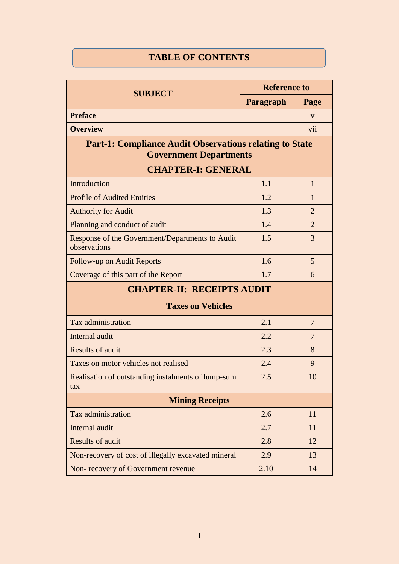## **TABLE OF CONTENTS**

| <b>SUBJECT</b>                                                                                  | <b>Reference to</b> |                |  |  |
|-------------------------------------------------------------------------------------------------|---------------------|----------------|--|--|
|                                                                                                 | Paragraph           | Page           |  |  |
| <b>Preface</b>                                                                                  |                     | V              |  |  |
| <b>Overview</b>                                                                                 |                     | vii            |  |  |
| <b>Part-1: Compliance Audit Observations relating to State</b><br><b>Government Departments</b> |                     |                |  |  |
| <b>CHAPTER-I: GENERAL</b>                                                                       |                     |                |  |  |
| Introduction                                                                                    | 1.1                 | $\mathbf{1}$   |  |  |
| <b>Profile of Audited Entities</b>                                                              | 1.2                 | 1              |  |  |
| <b>Authority for Audit</b>                                                                      | 1.3                 | $\overline{2}$ |  |  |
| Planning and conduct of audit                                                                   | 1.4                 | $\overline{2}$ |  |  |
| Response of the Government/Departments to Audit<br>observations                                 | 1.5                 | 3              |  |  |
| Follow-up on Audit Reports                                                                      | 1.6                 | 5              |  |  |
| Coverage of this part of the Report                                                             | 1.7                 | 6              |  |  |
| <b>CHAPTER-II: RECEIPTS AUDIT</b>                                                               |                     |                |  |  |
| <b>Taxes on Vehicles</b>                                                                        |                     |                |  |  |
| Tax administration                                                                              | 2.1                 | $\overline{7}$ |  |  |
| Internal audit                                                                                  | 2.2                 | $\overline{7}$ |  |  |
| <b>Results of audit</b>                                                                         | 2.3                 | 8              |  |  |
| Taxes on motor vehicles not realised                                                            | 2.4                 | 9              |  |  |
| Realisation of outstanding instalments of lump-sum<br>tax                                       | 2.5                 | 10             |  |  |
| <b>Mining Receipts</b>                                                                          |                     |                |  |  |
| Tax administration                                                                              | 2.6                 | 11             |  |  |
| Internal audit                                                                                  | 2.7                 | 11             |  |  |
| <b>Results of audit</b>                                                                         | 2.8                 | 12             |  |  |
| Non-recovery of cost of illegally excavated mineral                                             | 2.9                 | 13             |  |  |
| Non-recovery of Government revenue                                                              | 2.10                | 14             |  |  |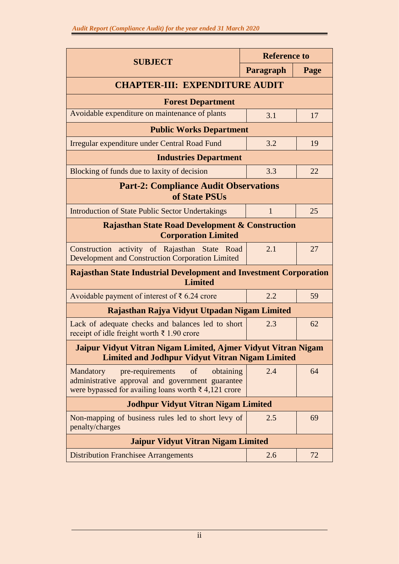| <b>SUBJECT</b>                                                                                                                                                         | <b>Reference to</b> |      |  |  |
|------------------------------------------------------------------------------------------------------------------------------------------------------------------------|---------------------|------|--|--|
|                                                                                                                                                                        | Paragraph           | Page |  |  |
| <b>CHAPTER-III: EXPENDITURE AUDIT</b>                                                                                                                                  |                     |      |  |  |
| <b>Forest Department</b>                                                                                                                                               |                     |      |  |  |
| Avoidable expenditure on maintenance of plants                                                                                                                         | 3.1                 | 17   |  |  |
| <b>Public Works Department</b>                                                                                                                                         |                     |      |  |  |
| Irregular expenditure under Central Road Fund                                                                                                                          | 3.2                 | 19   |  |  |
| <b>Industries Department</b>                                                                                                                                           |                     |      |  |  |
| Blocking of funds due to laxity of decision                                                                                                                            | 3.3                 | 22   |  |  |
| <b>Part-2: Compliance Audit Observations</b><br>of State PSUs                                                                                                          |                     |      |  |  |
| <b>Introduction of State Public Sector Undertakings</b>                                                                                                                | $\mathbf{1}$        | 25   |  |  |
| <b>Rajasthan State Road Development &amp; Construction</b><br><b>Corporation Limited</b>                                                                               |                     |      |  |  |
| Construction<br>activity of Rajasthan State<br>Road<br><b>Development and Construction Corporation Limited</b>                                                         | 2.1                 | 27   |  |  |
| <b>Rajasthan State Industrial Development and Investment Corporation</b><br><b>Limited</b>                                                                             |                     |      |  |  |
| Avoidable payment of interest of $\bar{\xi}$ 6.24 crore                                                                                                                | 2.2                 | 59   |  |  |
| Rajasthan Rajya Vidyut Utpadan Nigam Limited                                                                                                                           |                     |      |  |  |
| Lack of adequate checks and balances led to short<br>receipt of idle freight worth $\bar{\xi}$ 1.90 crore                                                              | 2.3                 | 62   |  |  |
| Jaipur Vidyut Vitran Nigam Limited, Ajmer Vidyut Vitran Nigam<br><b>Limited and Jodhpur Vidyut Vitran Nigam Limited</b>                                                |                     |      |  |  |
| pre-requirements<br>obtaining<br>Mandatory<br>of<br>administrative approval and government guarantee<br>were bypassed for availing loans worth $\bar{\xi}$ 4,121 crore | 2.4                 | 64   |  |  |
| <b>Jodhpur Vidyut Vitran Nigam Limited</b>                                                                                                                             |                     |      |  |  |
| Non-mapping of business rules led to short levy of<br>penalty/charges                                                                                                  | 2.5                 | 69   |  |  |
| <b>Jaipur Vidyut Vitran Nigam Limited</b>                                                                                                                              |                     |      |  |  |
| <b>Distribution Franchisee Arrangements</b>                                                                                                                            | 2.6                 | 72   |  |  |